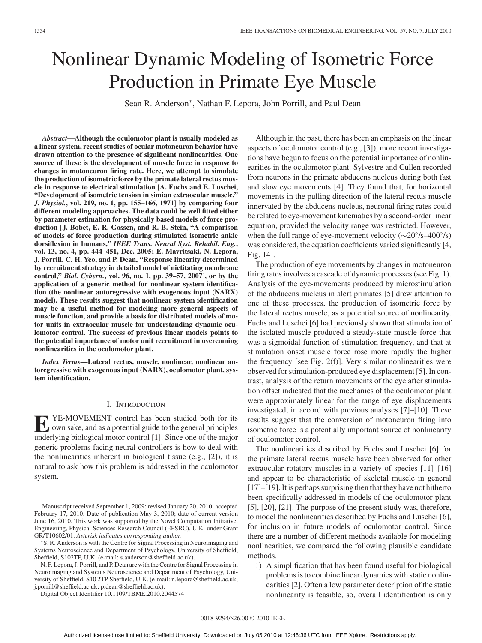# Nonlinear Dynamic Modeling of Isometric Force Production in Primate Eye Muscle

Sean R. Anderson∗, Nathan F. Lepora, John Porrill, and Paul Dean

*Abstract***—Although the oculomotor plant is usually modeled as a linear system, recent studies of ocular motoneuron behavior have drawn attention to the presence of significant nonlinearities. One source of these is the development of muscle force in response to changes in motoneuron firing rate. Here, we attempt to simulate the production of isometric force by the primate lateral rectus muscle in response to electrical stimulation [A. Fuchs and E. Luschei, "Development of isometric tension in simian extraocular muscle,"** *J. Physiol.***, vol. 219, no. 1, pp. 155–166, 1971] by comparing four different modeling approaches. The data could be well fitted either by parameter estimation for physically based models of force production [J. Bobet, E. R. Gossen, and R. B. Stein, "A comparison of models of force production during stimulated isometric ankle dorsiflexion in humans,"** *IEEE Trans. Neural Syst. Rehabil. Eng.***, vol. 13, no. 4, pp. 444–451, Dec. 2005; E. Mavritsaki, N. Lepora, J. Porrill, C. H. Yeo, and P. Dean, "Response linearity determined by recruitment strategy in detailed model of nictitating membrane control,"** *Biol. Cybern.***, vol. 96, no. 1, pp. 39–57, 2007], or by the application of a generic method for nonlinear system identification (the nonlinear autoregressive with exogenous input (NARX) model). These results suggest that nonlinear system identification may be a useful method for modeling more general aspects of muscle function, and provide a basis for distributed models of motor units in extraocular muscle for understanding dynamic oculomotor control. The success of previous linear models points to the potential importance of motor unit recruitment in overcoming nonlinearities in the oculomotor plant.**

*Index Terms***—Lateral rectus, muscle, nonlinear, nonlinear autoregressive with exogenous input (NARX), oculomotor plant, system identification.**

# I. INTRODUCTION

**E** YE-MOVEMENT control has been studied both for its<br>own sake, and as a potential guide to the general principles underlying biological motor control [1]. Since one of the major generic problems facing neural controllers is how to deal with the nonlinearities inherent in biological tissue (e.g., [2]), it is natural to ask how this problem is addressed in the oculomotor system.

Manuscript received September 1, 2009; revised January 20, 2010; accepted February 17, 2010. Date of publication May 3, 2010; date of current version June 16, 2010. This work was supported by the Novel Computation Initiative, Engineering, Physical Sciences Research Council (EPSRC), U.K. under Grant GR/T10602/01. *Asterisk indicates corresponding author.*

∗S. R. Anderson is with the Centre for Signal Processing in Neuroimaging and Systems Neuroscience and Department of Psychology, University of Sheffield, Sheffield, S102TP, U.K. (e-mail: s.anderson@sheffield.ac.uk).

N. F. Lepora, J. Porrill, and P. Dean are with the Centre for Signal Processing in Neuroimaging and Systems Neuroscience and Department of Psychology, University of Sheffield, S10 2TP Sheffield, U.K. (e-mail: n.lepora@sheffield.ac.uk; j.porrill@sheffield.ac.uk; p.dean@sheffield.ac.uk).

Digital Object Identifier 10.1109/TBME.2010.2044574

Although in the past, there has been an emphasis on the linear aspects of oculomotor control (e.g., [3]), more recent investigations have begun to focus on the potential importance of nonlinearities in the oculomotor plant. Sylvestre and Cullen recorded from neurons in the primate abducens nucleus during both fast and slow eye movements [4]. They found that, for horizontal movements in the pulling direction of the lateral rectus muscle innervated by the abducens nucleus, neuronal firing rates could be related to eye-movement kinematics by a second-order linear equation, provided the velocity range was restricted. However, when the full range of eye-movement velocity ( $\sim$ 20°/s–400°/s) was considered, the equation coefficients varied significantly [4, Fig. 14].

The production of eye movements by changes in motoneuron firing rates involves a cascade of dynamic processes (see Fig. 1). Analysis of the eye-movements produced by microstimulation of the abducens nucleus in alert primates [5] drew attention to one of these processes, the production of isometric force by the lateral rectus muscle, as a potential source of nonlinearity. Fuchs and Luschei [6] had previously shown that stimulation of the isolated muscle produced a steady-state muscle force that was a sigmoidal function of stimulation frequency, and that at stimulation onset muscle force rose more rapidly the higher the frequency [see Fig. 2(f)]. Very similar nonlinearities were observed for stimulation-produced eye displacement [5]. In contrast, analysis of the return movements of the eye after stimulation offset indicated that the mechanics of the oculomotor plant were approximately linear for the range of eye displacements investigated, in accord with previous analyses [7]–[10]. These results suggest that the conversion of motoneuron firing into isometric force is a potentially important source of nonlinearity of oculomotor control.

The nonlinearities described by Fuchs and Luschei [6] for the primate lateral rectus muscle have been observed for other extraocular rotatory muscles in a variety of species [11]–[16] and appear to be characteristic of skeletal muscle in general [17]–[19]. It is perhaps surprising then that they have not hitherto been specifically addressed in models of the oculomotor plant [5], [20], [21]. The purpose of the present study was, therefore, to model the nonlinearities described by Fuchs and Luschei [6], for inclusion in future models of oculomotor control. Since there are a number of different methods available for modeling nonlinearities, we compared the following plausible candidate methods.

1) A simplification that has been found useful for biological problems is to combine linear dynamics with static nonlinearities [2]. Often a low parameter description of the static nonlinearity is feasible, so, overall identification is only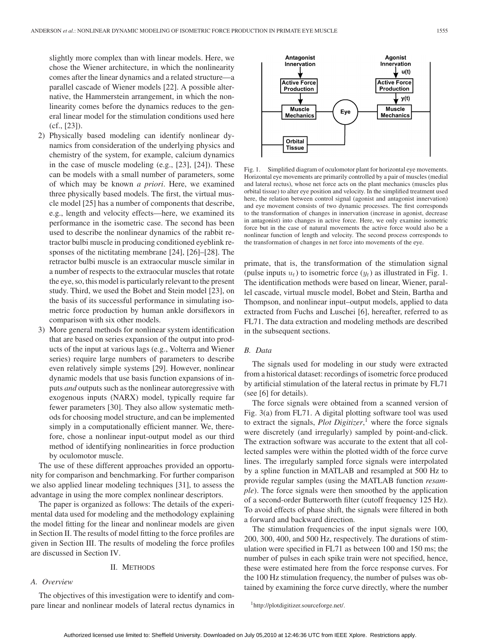slightly more complex than with linear models. Here, we chose the Wiener architecture, in which the nonlinearity comes after the linear dynamics and a related structure—a parallel cascade of Wiener models [22]. A possible alternative, the Hammerstein arrangement, in which the nonlinearity comes before the dynamics reduces to the general linear model for the stimulation conditions used here (cf., [23]).

- 2) Physically based modeling can identify nonlinear dynamics from consideration of the underlying physics and chemistry of the system, for example, calcium dynamics in the case of muscle modeling (e.g., [23], [24]). These can be models with a small number of parameters, some of which may be known *a priori*. Here, we examined three physically based models. The first, the virtual muscle model [25] has a number of components that describe, e.g., length and velocity effects—here, we examined its performance in the isometric case. The second has been used to describe the nonlinear dynamics of the rabbit retractor bulbi muscle in producing conditioned eyeblink responses of the nictitating membrane [24], [26]–[28]. The retractor bulbi muscle is an extraocular muscle similar in a number of respects to the extraocular muscles that rotate the eye, so, this model is particularly relevant to the present study. Third, we used the Bobet and Stein model [23], on the basis of its successful performance in simulating isometric force production by human ankle dorsiflexors in comparison with six other models.
- 3) More general methods for nonlinear system identification that are based on series expansion of the output into products of the input at various lags (e.g., Volterra and Wiener series) require large numbers of parameters to describe even relatively simple systems [29]. However, nonlinear dynamic models that use basis function expansions of inputs *and* outputs such as the nonlinear autoregressive with exogenous inputs (NARX) model, typically require far fewer parameters [30]. They also allow systematic methods for choosing model structure, and can be implemented simply in a computationally efficient manner. We, therefore, chose a nonlinear input-output model as our third method of identifying nonlinearities in force production by oculomotor muscle.

The use of these different approaches provided an opportunity for comparison and benchmarking. For further comparison we also applied linear modeling techniques [31], to assess the advantage in using the more complex nonlinear descriptors.

The paper is organized as follows: The details of the experimental data used for modeling and the methodology explaining the model fitting for the linear and nonlinear models are given in Section II. The results of model fitting to the force profiles are given in Section III. The results of modeling the force profiles are discussed in Section IV.

#### II. METHODS

# *A. Overview*

The objectives of this investigation were to identify and compare linear and nonlinear models of lateral rectus dynamics in



Fig. 1. Simplified diagram of oculomotor plant for horizontal eye movements. Horizontal eye movements are primarily controlled by a pair of muscles (medial and lateral rectus), whose net force acts on the plant mechanics (muscles plus orbital tissue) to alter eye position and velocity. In the simplified treatment used here, the relation between control signal (agonist and antagonist innervation) and eye movement consists of two dynamic processes. The first corresponds to the transformation of changes in innervation (increase in agonist, decrease in antagonist) into changes in active force. Here, we only examine isometric force but in the case of natural movements the active force would also be a nonlinear function of length and velocity. The second process corresponds to the transformation of changes in net force into movements of the eye.

primate, that is, the transformation of the stimulation signal (pulse inputs  $u_t$ ) to isometric force  $(y_t)$  as illustrated in Fig. 1. The identification methods were based on linear, Wiener, parallel cascade, virtual muscle model, Bobet and Stein, Bartha and Thompson, and nonlinear input–output models, applied to data extracted from Fuchs and Luschei [6], hereafter, referred to as FL71. The data extraction and modeling methods are described in the subsequent sections.

## *B. Data*

The signals used for modeling in our study were extracted from a historical dataset: recordings of isometric force produced by artificial stimulation of the lateral rectus in primate by FL71 (see [6] for details).

The force signals were obtained from a scanned version of Fig. 3(a) from FL71. A digital plotting software tool was used to extract the signals, *Plot Digitizer*, <sup>1</sup> where the force signals were discretely (and irregularly) sampled by point-and-click. The extraction software was accurate to the extent that all collected samples were within the plotted width of the force curve lines. The irregularly sampled force signals were interpolated by a spline function in MATLAB and resampled at 500 Hz to provide regular samples (using the MATLAB function *resample*). The force signals were then smoothed by the application of a second-order Butterworth filter (cutoff frequency 125 Hz). To avoid effects of phase shift, the signals were filtered in both a forward and backward direction.

The stimulation frequencies of the input signals were 100, 200, 300, 400, and 500 Hz, respectively. The durations of stimulation were specified in FL71 as between 100 and 150 ms; the number of pulses in each spike train were not specified, hence, these were estimated here from the force response curves. For the 100 Hz stimulation frequency, the number of pulses was obtained by examining the force curve directly, where the number

1http://plotdigitizer.sourceforge.net/.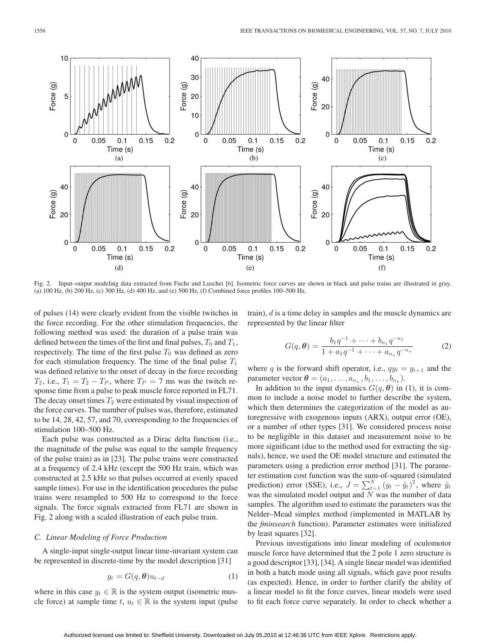

Fig. 2. Input–output modeling data extracted from Fuchs and Luschei [6]. Isometric force curves are shown in black and pulse trains are illustrated in gray. (a) 100 Hz, (b) 200 Hz, (c) 300 Hz, (d) 400 Hz, and (e) 500 Hz, (f) Combined force profiles 100–500 Hz.

of pulses (14) were clearly evident from the visible twitches in the force recording. For the other stimulation frequencies, the following method was used: the duration of a pulse train was defined between the times of the first and final pulses,  $T_0$  and  $T_1$ , respectively. The time of the first pulse  $T_0$  was defined as zero for each stimulation frequency. The time of the final pulse  $T_1$ was defined relative to the onset of decay in the force recording  $T_2$ , i.e.,  $T_1 = T_2 - T_P$ , where  $T_P = 7$  ms was the twitch response time from a pulse to peak muscle force reported in FL71. The decay onset times  $T_2$  were estimated by visual inspection of the force curves. The number of pulses was, therefore, estimated to be 14, 28, 42, 57, and 70, corresponding to the frequencies of stimulation 100–500 Hz.

Each pulse was constructed as a Dirac delta function (i.e., the magnitude of the pulse was equal to the sample frequency of the pulse train) as in [23]. The pulse trains were constructed at a frequency of 2.4 kHz (except the 500 Hz train, which was constructed at 2.5 kHz so that pulses occurred at evenly spaced sample times). For use in the identification procedures the pulse trains were resampled to 500 Hz to correspond to the force signals. The force signals extracted from FL71 are shown in Fig. 2 along with a scaled illustration of each pulse train.

## *C. Linear Modeling of Force Production*

A single-input single-output linear time-invariant system can be represented in discrete-time by the model description [31]

$$
y_t = G(q, \theta)u_{t-d} \tag{1}
$$

where in this case  $y_t \in \mathbb{R}$  is the system output (isometric muscle force) at sample time t,  $u_t \in \mathbb{R}$  is the system input (pulse train), d is a time delay in samples and the muscle dynamics are represented by the linear filter

$$
G(q,\boldsymbol{\theta}) = \frac{b_1 q^{-1} + \dots + b_{n_b} q^{-n_b}}{1 + a_1 q^{-1} + \dots + a_{n_a} q^{-n_a}}
$$
(2)

where q is the forward shift operator, i.e.,  $q y_t = y_{t+1}$  and the parameter vector  $\boldsymbol{\theta} = (a_1, \ldots, a_{n_a}, b_1, \ldots, b_{n_b}).$ 

In addition to the input dynamics  $G(q, \theta)$  in (1), it is common to include a noise model to further describe the system, which then determines the categorization of the model as autoregressive with exogenous inputs (ARX), output error (OE), or a number of other types [31]. We considered process noise to be negligible in this dataset and measurement noise to be more significant (due to the method used for extracting the signals), hence, we used the OE model structure and estimated the parameters using a prediction error method [31]. The parameter estimation cost function was the sum-of-squared (simulated prediction) error (SSE), i.e.,  $J = \sum_{t=1}^{N} (y_t - \hat{y}_t)^2$ , where  $\hat{y}_t$ was the simulated model output and  $N$  was the number of data samples. The algorithm used to estimate the parameters was the Nelder–Mead simplex method (implemented in MATLAB by the *fminsearch* function). Parameter estimates were initialized by least squares [32].

Previous investigations into linear modeling of oculomotor muscle force have determined that the 2 pole 1 zero structure is a good descriptor [33], [34]. A single linear model was identified in both a batch mode using all signals, which gave poor results (as expected). Hence, in order to further clarify the ability of a linear model to fit the force curves, linear models were used to fit each force curve separately. In order to check whether a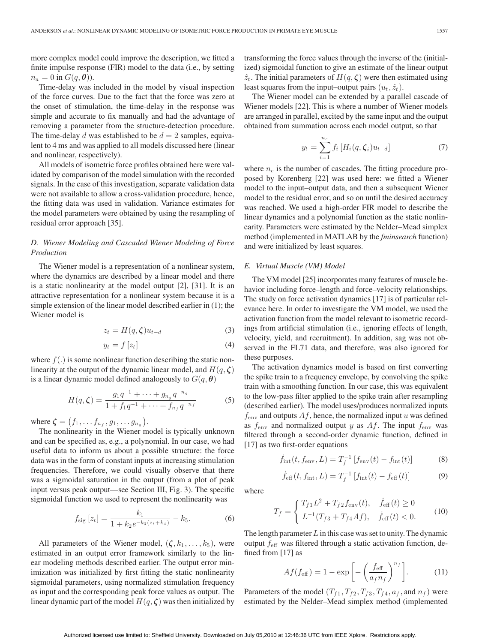more complex model could improve the description, we fitted a finite impulse response (FIR) model to the data (i.e., by setting  $n_a = 0$  in  $G(q, \theta)$ ).

Time-delay was included in the model by visual inspection of the force curves. Due to the fact that the force was zero at the onset of stimulation, the time-delay in the response was simple and accurate to fix manually and had the advantage of removing a parameter from the structure-detection procedure. The time-delay d was established to be  $d = 2$  samples, equivalent to 4 ms and was applied to all models discussed here (linear and nonlinear, respectively).

All models of isometric force profiles obtained here were validated by comparison of the model simulation with the recorded signals. In the case of this investigation, separate validation data were not available to allow a cross-validation procedure, hence, the fitting data was used in validation. Variance estimates for the model parameters were obtained by using the resampling of residual error approach [35].

# *D. Wiener Modeling and Cascaded Wiener Modeling of Force Production*

The Wiener model is a representation of a nonlinear system, where the dynamics are described by a linear model and there is a static nonlinearity at the model output [2], [31]. It is an attractive representation for a nonlinear system because it is a simple extension of the linear model described earlier in (1); the Wiener model is

$$
z_t = H(q, \zeta)u_{t-d} \tag{3}
$$

$$
y_t = f\left[z_t\right] \tag{4}
$$

where  $f(.)$  is some nonlinear function describing the static nonlinearity at the output of the dynamic linear model, and  $H(q, \zeta)$ is a linear dynamic model defined analogously to  $G(q, \theta)$ 

$$
H(q,\zeta) = \frac{g_1 q^{-1} + \dots + g_{n_g} q^{-n_g}}{1 + f_1 q^{-1} + \dots + f_{n_f} q^{-n_f}}
$$
(5)

where  $\boldsymbol{\zeta} = (f_1, \ldots, f_{n_f}, g_1, \ldots, g_{n_g}).$ 

The nonlinearity in the Wiener model is typically unknown and can be specified as, e.g., a polynomial. In our case, we had useful data to inform us about a possible structure: the force data was in the form of constant inputs at increasing stimulation frequencies. Therefore, we could visually observe that there was a sigmoidal saturation in the output (from a plot of peak input versus peak output—see Section III, Fig. 3). The specific sigmoidal function we used to represent the nonlinearity was

$$
f_{\text{sig}}\left[z_{t}\right] = \frac{k_{1}}{1 + k_{2}e^{-k_{3}\left(z_{t} + k_{4}\right)}} - k_{5}.
$$
 (6)

All parameters of the Wiener model,  $(\zeta, k_1, \ldots, k_5)$ , were estimated in an output error framework similarly to the linear modeling methods described earlier. The output error minimization was initialized by first fitting the static nonlinearity sigmoidal parameters, using normalized stimulation frequency as input and the corresponding peak force values as output. The linear dynamic part of the model  $H(q, \zeta)$  was then initialized by transforming the force values through the inverse of the (initialized) sigmoidal function to give an estimate of the linear output  $\hat{z}_t$ . The initial parameters of  $H(q, \zeta)$  were then estimated using least squares from the input–output pairs  $(u_t, \hat{z}_t)$ .

The Wiener model can be extended by a parallel cascade of Wiener models [22]. This is where a number of Wiener models are arranged in parallel, excited by the same input and the output obtained from summation across each model output, so that

$$
y_t = \sum_{i=1}^{n_c} f_i \left[ H_i(q, \zeta_i) u_{t-d} \right]
$$
 (7)

where  $n_c$  is the number of cascades. The fitting procedure proposed by Korenberg [22] was used here: we fitted a Wiener model to the input–output data, and then a subsequent Wiener model to the residual error, and so on until the desired accuracy was reached. We used a high-order FIR model to describe the linear dynamics and a polynomial function as the static nonlinearity. Parameters were estimated by the Nelder–Mead simplex method (implemented in MATLAB by the *fminsearch* function) and were initialized by least squares.

## *E. Virtual Muscle (VM) Model*

The VM model [25] incorporates many features of muscle behavior including force–length and force–velocity relationships. The study on force activation dynamics [17] is of particular relevance here. In order to investigate the VM model, we used the activation function from the model relevant to isometric recordings from artificial stimulation (i.e., ignoring effects of length, velocity, yield, and recruitment). In addition, sag was not observed in the FL71 data, and therefore, was also ignored for these purposes.

The activation dynamics model is based on first converting the spike train to a frequency envelope, by convolving the spike train with a smoothing function. In our case, this was equivalent to the low-pass filter applied to the spike train after resampling (described earlier). The model uses/produces normalized inputs  $f_{\text{env}}$  and outputs  $Af$ , hence, the normalized input u was defined as  $f_{\text{env}}$  and normalized output y as Af. The input  $f_{\text{env}}$  was filtered through a second-order dynamic function, defined in [17] as two first-order equations

$$
\dot{f}_{\rm int}(t, f_{\rm env}, L) = T_f^{-1} \left[ f_{\rm env}(t) - f_{\rm int}(t) \right]
$$
 (8)

$$
\dot{f}_{\text{eff}}(t, f_{\text{int}}, L) = T_f^{-1} \left[ f_{\text{int}}(t) - f_{\text{eff}}(t) \right]
$$
 (9)

where

$$
T_f = \begin{cases} T_{f1}L^2 + T_{f2}f_{\text{env}}(t), & \dot{f}_{\text{eff}}(t) \ge 0\\ L^{-1}(T_{f3} + T_{f4}Af), & \dot{f}_{\text{eff}}(t) < 0. \end{cases}
$$
(10)

The length parameter  $L$  in this case was set to unity. The dynamic output  $f_{\text{eff}}$  was filtered through a static activation function, defined from [17] as

$$
Af(f_{\text{eff}}) = 1 - \exp\left[-\left(\frac{f_{\text{eff}}}{a_f n_f}\right)^{n_f}\right].\tag{11}
$$

Parameters of the model  $(T_{f1}, T_{f2}, T_{f3}, T_{f4}, a_f,$  and  $n_f)$  were estimated by the Nelder–Mead simplex method (implemented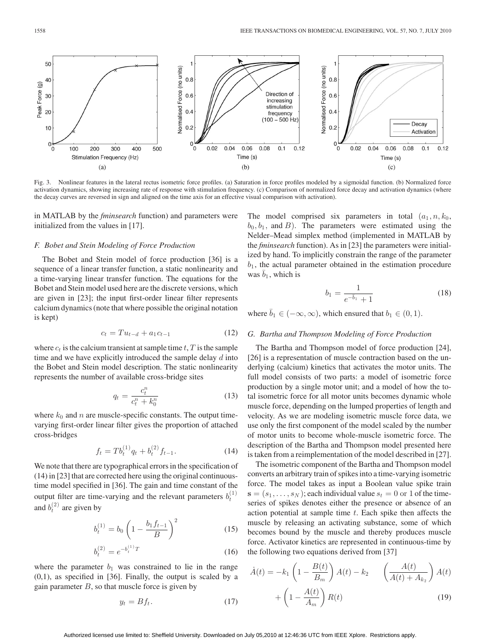

Fig. 3. Nonlinear features in the lateral rectus isometric force profiles. (a) Saturation in force profiles modeled by a sigmoidal function. (b) Normalized force activation dynamics, showing increasing rate of response with stimulation frequency. (c) Comparison of normalized force decay and activation dynamics (where the decay curves are reversed in sign and aligned on the time axis for an effective visual comparison with activation).

in MATLAB by the *fminsearch* function) and parameters were initialized from the values in [17].

#### *F. Bobet and Stein Modeling of Force Production*

The Bobet and Stein model of force production [36] is a sequence of a linear transfer function, a static nonlinearity and a time-varying linear transfer function. The equations for the Bobet and Stein model used here are the discrete versions, which are given in [23]; the input first-order linear filter represents calcium dynamics (note that where possible the original notation is kept)

$$
c_t = T u_{t-d} + a_1 c_{t-1} \tag{12}
$$

where  $c_t$  is the calcium transient at sample time t, T is the sample time and we have explicitly introduced the sample delay  $d$  into the Bobet and Stein model description. The static nonlinearity represents the number of available cross-bridge sites

$$
q_t = \frac{c_t^n}{c_t^n + k_0^n} \tag{13}
$$

where  $k_0$  and n are muscle-specific constants. The output timevarying first-order linear filter gives the proportion of attached cross-bridges

$$
f_t = T b_t^{(1)} q_t + b_t^{(2)} f_{t-1}.
$$
 (14)

We note that there are typographical errors in the specification of (14) in [23] that are corrected here using the original continuoustime model specified in [36]. The gain and time constant of the output filter are time-varying and the relevant parameters  $b_t^{(1)}$ and  $b_t^{(2)}$  are given by

$$
b_t^{(1)} = b_0 \left( 1 - \frac{b_1 f_{t-1}}{B} \right)^2 \tag{15}
$$

$$
b_t^{(2)} = e^{-b_t^{(1)}T} \tag{16}
$$

where the parameter  $b_1$  was constrained to lie in the range (0,1), as specified in [36]. Finally, the output is scaled by a gain parameter  $B$ , so that muscle force is given by

$$
y_t = Bf_t. \tag{17}
$$

The model comprised six parameters in total  $(a_1, n, k_0,$  $b_0, b_1$ , and B). The parameters were estimated using the Nelder–Mead simplex method (implemented in MATLAB by the *fminsearch* function). As in [23] the parameters were initialized by hand. To implicitly constrain the range of the parameter  $b_1$ , the actual parameter obtained in the estimation procedure was  $\overline{b}_1$ , which is

$$
b_1 = \frac{1}{e^{-\bar{b}_1} + 1} \tag{18}
$$

where  $\bar{b}_1 \in (-\infty, \infty)$ , which ensured that  $b_1 \in (0, 1)$ .

# *G. Bartha and Thompson Modeling of Force Production*

The Bartha and Thompson model of force production [24], [26] is a representation of muscle contraction based on the underlying (calcium) kinetics that activates the motor units. The full model consists of two parts: a model of isometric force production by a single motor unit; and a model of how the total isometric force for all motor units becomes dynamic whole muscle force, depending on the lumped properties of length and velocity. As we are modeling isometric muscle force data, we use only the first component of the model scaled by the number of motor units to become whole-muscle isometric force. The description of the Bartha and Thompson model presented here is taken from a reimplementation of the model described in [27].

The isometric component of the Bartha and Thompson model converts an arbitrary train of spikes into a time-varying isometric force. The model takes as input a Boolean value spike train  $\mathbf{s} = (s_1, \ldots, s_N)$ ; each individual value  $s_t = 0$  or 1 of the timeseries of spikes denotes either the presence or absence of an action potential at sample time  $t$ . Each spike then affects the muscle by releasing an activating substance, some of which becomes bound by the muscle and thereby produces muscle force. Activator kinetics are represented in continuous-time by the following two equations derived from [37]

$$
\dot{A}(t) = -k_1 \left( 1 - \frac{B(t)}{B_m} \right) A(t) - k_2 \qquad \left( \frac{A(t)}{A(t) + A_{k_2}} \right) A(t) + \left( 1 - \frac{A(t)}{A_m} \right) R(t) \tag{19}
$$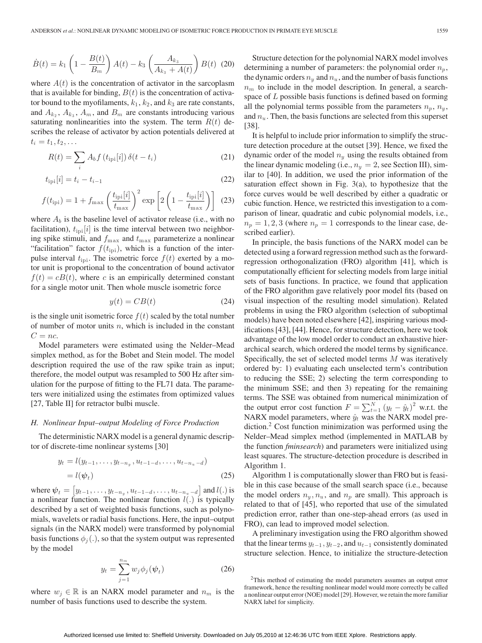$$
\dot{B}(t) = k_1 \left( 1 - \frac{B(t)}{B_m} \right) A(t) - k_3 \left( \frac{A_{k_3}}{A_{k_3} + A(t)} \right) B(t) \tag{20}
$$

where  $A(t)$  is the concentration of activator in the sarcoplasm that is available for binding,  $B(t)$  is the concentration of activator bound to the myofilaments,  $k_1$ ,  $k_2$ , and  $k_3$  are rate constants, and  $A_k$ ,  $A_k$ ,  $A_m$ , and  $B_m$  are constants introducing various saturating nonlinearities into the system. The term  $R(t)$  describes the release of activator by action potentials delivered at  $t_i = t_1, t_2, \ldots$ 

$$
R(t) = \sum_{i} A_{b} f(t_{\text{ipi}}[i]) \delta(t - t_{i})
$$
\n(21)

$$
t_{\rm ipi}[i] = t_i - t_{i-1}
$$
\n(22)

$$
f(t_{\rm{ipi}}) = 1 + f_{\rm{max}} \left(\frac{t_{\rm{ipi}}[i]}{t_{\rm{max}}}\right)^2 \exp\left[2\left(1 - \frac{t_{\rm{ipi}}[i]}{t_{\rm{max}}}\right)\right]
$$
(23)

where  $A_b$  is the baseline level of activator release (i.e., with no facilitation),  $t_{\text{ipi}}[i]$  is the time interval between two neighboring spike stimuli, and  $f_{\text{max}}$  and  $t_{\text{max}}$  parameterize a nonlinear "facilitation" factor  $f(t_{\text{ipi}})$ , which is a function of the interpulse interval  $t_{\text{ipi}}$ . The isometric force  $f(t)$  exerted by a motor unit is proportional to the concentration of bound activator  $f(t) = cB(t)$ , where c is an empirically determined constant for a single motor unit. Then whole muscle isometric force

$$
y(t) = CB(t) \tag{24}
$$

is the single unit isometric force  $f(t)$  scaled by the total number of number of motor units  $n$ , which is included in the constant  $C = nc$ .

Model parameters were estimated using the Nelder–Mead simplex method, as for the Bobet and Stein model. The model description required the use of the raw spike train as input; therefore, the model output was resampled to 500 Hz after simulation for the purpose of fitting to the FL71 data. The parameters were initialized using the estimates from optimized values [27, Table II] for retractor bulbi muscle.

#### *H. Nonlinear Input–output Modeling of Force Production*

The deterministic NARX model is a general dynamic descriptor of discrete-time nonlinear systems [30]

$$
y_t = l(y_{t-1}, \dots, y_{t-n_y}, u_{t-1-d}, \dots, u_{t-n_u-d})
$$
  
=  $l(\psi_t)$  (25)

where  $\psi_t = [y_{t-1}, \dots, y_{t-n_y}, u_{t-1-d}, \dots, u_{t-n_u-d}]$  and  $l(.)$  is a nonlinear function. The nonlinear function  $l(.)$  is typically described by a set of weighted basis functions, such as polynomials, wavelets or radial basis functions. Here, the input–output signals (in the NARX model) were transformed by polynomial basis functions  $\phi_i(.)$ , so that the system output was represented by the model

$$
y_t = \sum_{j=1}^{n_m} w_j \phi_j(\psi_t)
$$
 (26)

where  $w_i \in \mathbb{R}$  is an NARX model parameter and  $n_m$  is the number of basis functions used to describe the system.

Structure detection for the polynomial NARX model involves determining a number of parameters: the polynomial order  $n_p$ , the dynamic orders  $n_y$  and  $n_u$ , and the number of basis functions  $n<sub>m</sub>$  to include in the model description. In general, a searchspace of  $L$  possible basis functions is defined based on forming all the polynomial terms possible from the parameters  $n_p$ ,  $n_y$ , and  $n_u$ . Then, the basis functions are selected from this superset [38].

It is helpful to include prior information to simplify the structure detection procedure at the outset [39]. Hence, we fixed the dynamic order of the model  $n_y$  using the results obtained from the linear dynamic modeling (i.e.,  $n_y = 2$ , see Section III), similar to [40]. In addition, we used the prior information of the saturation effect shown in Fig.  $3(a)$ , to hypothesize that the force curves would be well described by either a quadratic or cubic function. Hence, we restricted this investigation to a comparison of linear, quadratic and cubic polynomial models, i.e.,  $n_p = 1, 2, 3$  (where  $n_p = 1$  corresponds to the linear case, described earlier).

In principle, the basis functions of the NARX model can be detected using a forward regression method such as the forwardregression orthogonalization (FRO) algorithm [41], which is computationally efficient for selecting models from large initial sets of basis functions. In practice, we found that application of the FRO algorithm gave relatively poor model fits (based on visual inspection of the resulting model simulation). Related problems in using the FRO algorithm (selection of suboptimal models) have been noted elsewhere [42], inspiring various modifications [43], [44]. Hence, for structure detection, here we took advantage of the low model order to conduct an exhaustive hierarchical search, which ordered the model terms by significance. Specifically, the set of selected model terms M was iteratively ordered by: 1) evaluating each unselected term's contribution to reducing the SSE; 2) selecting the term corresponding to the minimum SSE; and then 3) repeating for the remaining terms. The SSE was obtained from numerical minimization of the output error cost function  $F = \sum_{t=1}^{N} (y_t - \hat{y}_t)^2$  w.r.t. the NARX model parameters, where  $\hat{y}_t$  was the NARX model prediction.<sup>2</sup> Cost function minimization was performed using the Nelder–Mead simplex method (implemented in MATLAB by the function *fminsearch*) and parameters were initialized using least squares. The structure-detection procedure is described in Algorithm 1.

Algorithm 1 is computationally slower than FRO but is feasible in this case because of the small search space (i.e., because the model orders  $n_y, n_u$ , and  $n_p$  are small). This approach is related to that of [45], who reported that use of the simulated prediction error, rather than one-step-ahead errors (as used in FRO), can lead to improved model selection.

A preliminary investigation using the FRO algorithm showed that the linear terms  $y_{t-1}$ ,  $y_{t-2}$ , and  $u_{t-1}$  consistently dominated structure selection. Hence, to initialize the structure-detection

<sup>&</sup>lt;sup>2</sup>This method of estimating the model parameters assumes an output error framework, hence the resulting nonlinear model would more correctly be called a nonlinear output error (NOE) model [29]. However, we retain the more familiar NARX label for simplicity.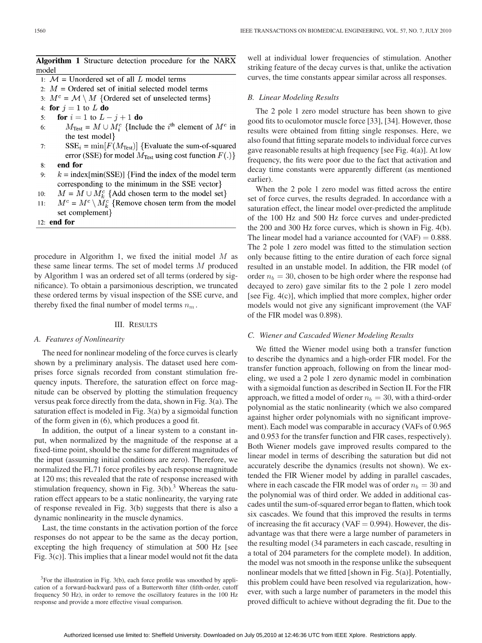| Algorithm 1 Structure detection procedure for the NARX |  |  |  |  |
|--------------------------------------------------------|--|--|--|--|
| model                                                  |  |  |  |  |

- 1:  $M =$  Unordered set of all L model terms
- 2:  $M =$ Ordered set of initial selected model terms
- 3:  $M^c = \mathcal{M} \setminus M$  {Ordered set of unselected terms}
- 4: for  $j = 1$  to L do
- **for**  $i = 1$  to  $L j + 1$  **do** 5:
- $M_{\text{Test}} = M \cup M_i^c$  {Include the *i*<sup>th</sup> element of  $M^c$  in 6: the test model}
- $7<sup>1</sup>$  $SSE_i = min[F(M_{Test})]$  {Evaluate the sum-of-squared error (SSE) for model  $M_{\text{Test}}$  using cost function  $F(.)$
- end for  $8:$
- $k = \text{index}[\min(\text{SSE})]$  {Find the index of the model term  $\mathbf{Q}$ corresponding to the minimum in the SSE vector.
- $M = M \cup M_k^c$  {Add chosen term to the model set}  $10:$
- $M^c = M^c \setminus M^c_k$  {Remove chosen term from the model  $11:$ set complement}
- $12:$  end for

procedure in Algorithm 1, we fixed the initial model M as these same linear terms. The set of model terms M produced by Algorithm 1 was an ordered set of all terms (ordered by significance). To obtain a parsimonious description, we truncated these ordered terms by visual inspection of the SSE curve, and thereby fixed the final number of model terms  $n_m$ .

### III. RESULTS

## *A. Features of Nonlinearity*

The need for nonlinear modeling of the force curves is clearly shown by a preliminary analysis. The dataset used here comprises force signals recorded from constant stimulation frequency inputs. Therefore, the saturation effect on force magnitude can be observed by plotting the stimulation frequency versus peak force directly from the data, shown in Fig. 3(a). The saturation effect is modeled in Fig. 3(a) by a sigmoidal function of the form given in (6), which produces a good fit.

In addition, the output of a linear system to a constant input, when normalized by the magnitude of the response at a fixed-time point, should be the same for different magnitudes of the input (assuming initial conditions are zero). Therefore, we normalized the FL71 force profiles by each response magnitude at 120 ms; this revealed that the rate of response increased with stimulation frequency, shown in Fig.  $3(b)$ .<sup>3</sup> Whereas the saturation effect appears to be a static nonlinearity, the varying rate of response revealed in Fig. 3(b) suggests that there is also a dynamic nonlinearity in the muscle dynamics.

Last, the time constants in the activation portion of the force responses do not appear to be the same as the decay portion, excepting the high frequency of stimulation at 500 Hz [see Fig. 3(c)]. This implies that a linear model would not fit the data

well at individual lower frequencies of stimulation. Another striking feature of the decay curves is that, unlike the activation curves, the time constants appear similar across all responses.

#### *B. Linear Modeling Results*

The 2 pole 1 zero model structure has been shown to give good fits to oculomotor muscle force [33], [34]. However, those results were obtained from fitting single responses. Here, we also found that fitting separate models to individual force curves gave reasonable results at high frequency [see Fig. 4(a)]. At low frequency, the fits were poor due to the fact that activation and decay time constants were apparently different (as mentioned earlier).

When the 2 pole 1 zero model was fitted across the entire set of force curves, the results degraded. In accordance with a saturation effect, the linear model over-predicted the amplitude of the 100 Hz and 500 Hz force curves and under-predicted the 200 and 300 Hz force curves, which is shown in Fig. 4(b). The linear model had a variance accounted for  $(VAF) = 0.888$ . The 2 pole 1 zero model was fitted to the stimulation section only because fitting to the entire duration of each force signal resulted in an unstable model. In addition, the FIR model (of order  $n_b = 30$ , chosen to be high order where the response had decayed to zero) gave similar fits to the 2 pole 1 zero model [see Fig. 4(c)], which implied that more complex, higher order models would not give any significant improvement (the VAF of the FIR model was 0.898).

# *C. Wiener and Cascaded Wiener Modeling Results*

We fitted the Wiener model using both a transfer function to describe the dynamics and a high-order FIR model. For the transfer function approach, following on from the linear modeling, we used a 2 pole 1 zero dynamic model in combination with a sigmoidal function as described in Section II. For the FIR approach, we fitted a model of order  $n_b = 30$ , with a third-order polynomial as the static nonlinearity (which we also compared against higher order polynomials with no significant improvement). Each model was comparable in accuracy (VAFs of 0.965 and 0.953 for the transfer function and FIR cases, respectively). Both Wiener models gave improved results compared to the linear model in terms of describing the saturation but did not accurately describe the dynamics (results not shown). We extended the FIR Wiener model by adding in parallel cascades, where in each cascade the FIR model was of order  $n_b = 30$  and the polynomial was of third order. We added in additional cascades until the sum-of-squared error began to flatten, which took six cascades. We found that this improved the results in terms of increasing the fit accuracy ( $VAF = 0.994$ ). However, the disadvantage was that there were a large number of parameters in the resulting model (34 parameters in each cascade, resulting in a total of 204 parameters for the complete model). In addition, the model was not smooth in the response unlike the subsequent nonlinear models that we fitted [shown in Fig. 5(a)]. Potentially, this problem could have been resolved via regularization, however, with such a large number of parameters in the model this proved difficult to achieve without degrading the fit. Due to the

<sup>&</sup>lt;sup>3</sup>For the illustration in Fig. 3(b), each force profile was smoothed by application of a forward-backward pass of a Butterworth filter (fifth-order, cutoff frequency 50 Hz), in order to remove the oscillatory features in the 100 Hz response and provide a more effective visual comparison.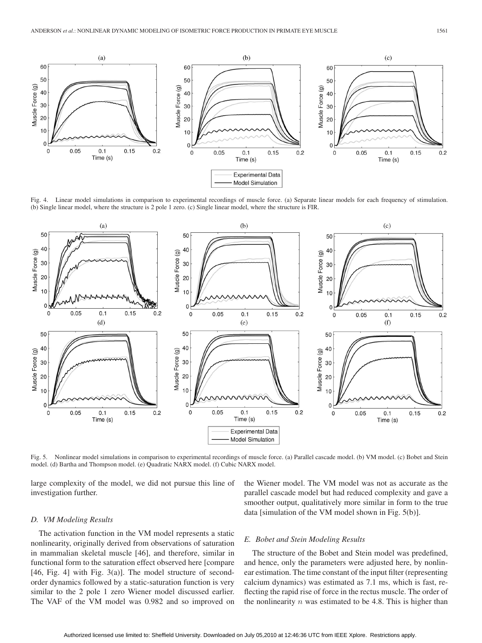

Fig. 4. Linear model simulations in comparison to experimental recordings of muscle force. (a) Separate linear models for each frequency of stimulation. (b) Single linear model, where the structure is 2 pole 1 zero. (c) Single linear model, where the structure is FIR.



Fig. 5. Nonlinear model simulations in comparison to experimental recordings of muscle force. (a) Parallel cascade model. (b) VM model. (c) Bobet and Stein model. (d) Bartha and Thompson model. (e) Quadratic NARX model. (f) Cubic NARX model.

large complexity of the model, we did not pursue this line of investigation further.

the Wiener model. The VM model was not as accurate as the parallel cascade model but had reduced complexity and gave a smoother output, qualitatively more similar in form to the true data [simulation of the VM model shown in Fig. 5(b)].

#### *D. VM Modeling Results*

The activation function in the VM model represents a static nonlinearity, originally derived from observations of saturation in mammalian skeletal muscle [46], and therefore, similar in functional form to the saturation effect observed here [compare [46, Fig. 4] with Fig.  $3(a)$ ]. The model structure of secondorder dynamics followed by a static-saturation function is very similar to the 2 pole 1 zero Wiener model discussed earlier. The VAF of the VM model was 0.982 and so improved on

# *E. Bobet and Stein Modeling Results*

The structure of the Bobet and Stein model was predefined, and hence, only the parameters were adjusted here, by nonlinear estimation. The time constant of the input filter (representing calcium dynamics) was estimated as 7.1 ms, which is fast, reflecting the rapid rise of force in the rectus muscle. The order of the nonlinearity  $n$  was estimated to be 4.8. This is higher than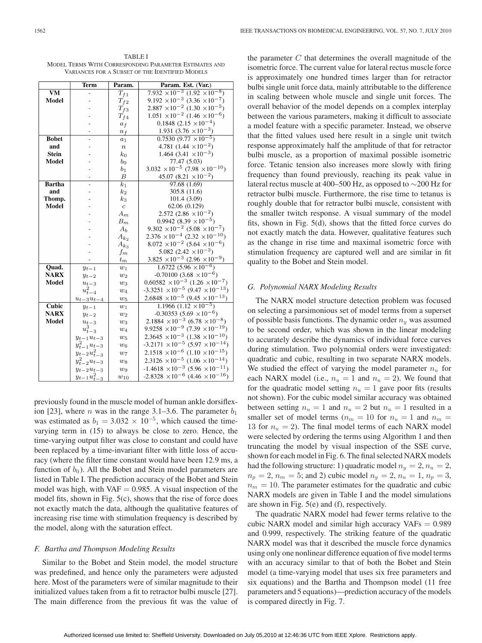TABLE I MODEL TERMS WITH CORRESPONDING PARAMETER ESTIMATES AND VARIANCES FOR A SUBSET OF THE IDENTIFIED MODELS

|               | <b>Term</b>         | Param.              | Param. Est. (Var.)                                 |
|---------------|---------------------|---------------------|----------------------------------------------------|
| <b>VM</b>     |                     | $T_{f1}$            | $7.932 \times 10^{-3}$ $(1.92 \times 10^{-8})$     |
| Model         |                     | $\mathcal{T}_{f2}$  | $9.192 \times 10^{-3}$ (3.36 $\times 10^{-7}$ )    |
|               |                     | $T_{f3}$            | $2.887 \times 10^{-2}$ $(1.30 \times 10^{-5})$     |
|               |                     | $T_{f4}$            | $1.051 \times 10^{-2}$ $(1.46 \times 10^{-6})$     |
|               |                     | $a_f$               | $0.1848~(2.15~\times 10^{-4})$                     |
|               |                     | $n_f$               | 1.931 $(3.76 \times 10^{-3})$                      |
| <b>Bobet</b>  |                     | $a_1$               | $0.7530(9.77 \times 10^{-5})$                      |
| and           |                     | $\boldsymbol{n}$    | 4.781 $(1.44 \times 10^{-2})$                      |
| <b>Stein</b>  |                     | $k_0$               | 1.464 $(3.41 \times 10^{-3})$                      |
| Model         |                     | $b_0$               | 77.47 (5.03)                                       |
|               |                     | $b_1$               | $3.032 \times 10^{-5}$ (7.98 $\times 10^{-10}$ )   |
|               |                     | $\boldsymbol{B}$    | 45.07 (8.21 $\times$ 10 <sup>-2</sup> )            |
| <b>Bartha</b> |                     | $\overline{k_1}$    | 97.68(1.69)                                        |
| and           |                     | $k_2$               | 305.8 (11.6)                                       |
| Thomp.        |                     | $k_3$               | 101.4 (3.09)                                       |
| Model         |                     | $\boldsymbol{c}$    | 62.06 (0.129)                                      |
|               |                     | $A_m$               | 2.572 $(2.86 \times 10^{-2})$                      |
|               |                     | $\mathcal{B}_m$     | $0.9942(8.39\times10^{-5})$                        |
|               |                     | $A_b$               | $9.302 \times 10^{-2}$ (5.08 $\times 10^{-7}$ )    |
|               |                     | $\mathcal{A}_{k_2}$ | $2.376 \times 10^{-4}$ $(2.32 \times 10^{-10})$    |
|               |                     | $A_{k_3}$           | $8.072 \times 10^{-2}$ (5.64 $\times 10^{-6}$ )    |
|               |                     | $f_{\mathfrak{m}}$  | 5.082 $(2.42 \times 10^{-3})$                      |
|               |                     | $t_m$               | $3.825 \times 10^{-3}$ (2.96 $\times 10^{-9}$ )    |
| Quad.         | $y_{t-1}$           | $w_1$               | $\frac{1.6722}{(5.96 \times 10^{-6})}$             |
| <b>NARX</b>   | $y_{t-2}$           | $w_2$               | $-0.70100(3.68 \times 10^{-6})$                    |
| Model         | $u_{t-3}$           | $w_3$               | $0.60582 \times 10^{-3}$ $(1.26 \times 10^{-7})$   |
|               | $u_{t-4}^2$         | $w_4$               | $-3.3251 \times 10^{-5} (9.47 \times 10^{-13})$    |
|               | $u_{t-3}u_{t-4}$    | $w_5$               | $2.6848 \times 10^{-5} (9.45 \times 10^{-13})$     |
| Cubic         | $y_{t-1}$           | $w_1$               | $1.1966(1.12 \times 10^{-5})$                      |
| <b>NARX</b>   | $y_{t-2}$           | $w_2$               | $-0.30353(5.69 \times 10^{-6})$                    |
| Model         | $u_{t-3}$           | $w_3$               | $2.1884 \times 10^{-3}$ (6.78 $\times 10^{-8}$ )   |
|               | $u_{t-3}^3$         | $w_4$               | $9.9258 \times 10^{-9} (7.39 \times 10^{-19})$     |
|               | $y_{t-1}u_{t-3}$    | $w_5$               | $2.3645 \times 10^{-3}$ $(1.38 \times 10^{-10})$   |
|               | $y_{t-1}^2 u_{t-3}$ | $w_6$               | $-3.2171 \times 10^{-5}$ (5.97 $\times 10^{-14}$ ) |
|               | $y_{t-2}u_{t-3}^2$  | $w_7$               | $2.1518 \times 10^{-6}$ $(1.10 \times 10^{-15})$   |
|               | $y_{t-2}^2 u_{t-3}$ | $w_8$               | $2.3126 \times 10^{-5}$ $(1.06 \times 10^{-14})$   |
|               | $y_{t-2}u_{t-3}$    | $w_9$               | $-1.4618 \times 10^{-3} (5.96 \times 10^{-11})$    |
|               | $y_{t-1}u_{t-3}^2$  | $w_{10}$            | $-2.8328 \times 10^{-6} (4.46 \times 10^{-16})$    |

previously found in the muscle model of human ankle dorsiflexion [23], where *n* was in the range 3.1–3.6. The parameter  $b_1$ was estimated as  $b_1 = 3.032 \times 10^{-5}$ , which caused the timevarying term in (15) to always be close to zero. Hence, the time-varying output filter was close to constant and could have been replaced by a time-invariant filter with little loss of accuracy (where the filter time constant would have been 12.9 ms, a function of  $b_0$ ). All the Bobet and Stein model parameters are listed in Table I. The prediction accuracy of the Bobet and Stein model was high, with  $VAF = 0.985$ . A visual inspection of the model fits, shown in Fig. 5(c), shows that the rise of force does not exactly match the data, although the qualitative features of increasing rise time with stimulation frequency is described by the model, along with the saturation effect.

## *F. Bartha and Thompson Modeling Results*

Similar to the Bobet and Stein model, the model structure was predefined, and hence only the parameters were adjusted here. Most of the parameters were of similar magnitude to their initialized values taken from a fit to retractor bulbi muscle [27]. The main difference from the previous fit was the value of the parameter  $C$  that determines the overall magnitude of the isometric force. The current value for lateral rectus muscle force is approximately one hundred times larger than for retractor bulbi single unit force data, mainly attributable to the difference in scaling between whole muscle and single unit forces. The overall behavior of the model depends on a complex interplay between the various parameters, making it difficult to associate a model feature with a specific parameter. Instead, we observe that the fitted values used here result in a single unit twitch response approximately half the amplitude of that for retractor bulbi muscle, as a proportion of maximal possible isometric force. Tetanic tension also increases more slowly with firing frequency than found previously, reaching its peak value in lateral rectus muscle at 400–500 Hz, as opposed to ∼200 Hz for retractor bulbi muscle. Furthermore, the rise time to tetanus is roughly double that for retractor bulbi muscle, consistent with the smaller twitch response. A visual summary of the model fits, shown in Fig. 5(d), shows that the fitted force curves do not exactly match the data. However, qualitative features such as the change in rise time and maximal isometric force with stimulation frequency are captured well and are similar in fit quality to the Bobet and Stein model.

#### *G. Polynomial NARX Modeling Results*

The NARX model structure detection problem was focused on selecting a parsimonious set of model terms from a superset of possible basis functions. The dynamic order  $n_y$  was assumed to be second order, which was shown in the linear modeling to accurately describe the dynamics of individual force curves during stimulation. Two polynomial orders were investigated: quadratic and cubic, resulting in two separate NARX models. We studied the effect of varying the model parameter  $n_u$  for each NARX model (i.e.,  $n_u = 1$  and  $n_u = 2$ ). We found that for the quadratic model setting  $n_u = 1$  gave poor fits (results not shown). For the cubic model similar accuracy was obtained between setting  $n_u = 1$  and  $n_u = 2$  but  $n_u = 1$  resulted in a smaller set of model terms ( $n_m = 10$  for  $n_u = 1$  and  $n_m =$ 13 for  $n_u = 2$ ). The final model terms of each NARX model were selected by ordering the terms using Algorithm 1 and then truncating the model by visual inspection of the SSE curve, shown for each model in Fig. 6. The final selected NARX models had the following structure: 1) quadratic model  $n_y = 2$ ,  $n_u = 2$ ,  $n_p = 2$ ,  $n_m = 5$ ; and 2) cubic model  $n_y = 2$ ,  $n_u = 1$ ,  $n_p = 3$ ,  $n_m = 10$ . The parameter estimates for the quadratic and cubic NARX models are given in Table I and the model simulations are shown in Fig. 5(e) and (f), respectively.

The quadratic NARX model had fewer terms relative to the cubic NARX model and similar high accuracy VAFs  $= 0.989$ and 0.999, respectively. The striking feature of the quadratic NARX model was that it described the muscle force dynamics using only one nonlinear difference equation of five model terms with an accuracy similar to that of both the Bobet and Stein model (a time-varying model that uses six free parameters and six equations) and the Bartha and Thompson model (11 free parameters and 5 equations)—prediction accuracy of the models is compared directly in Fig. 7.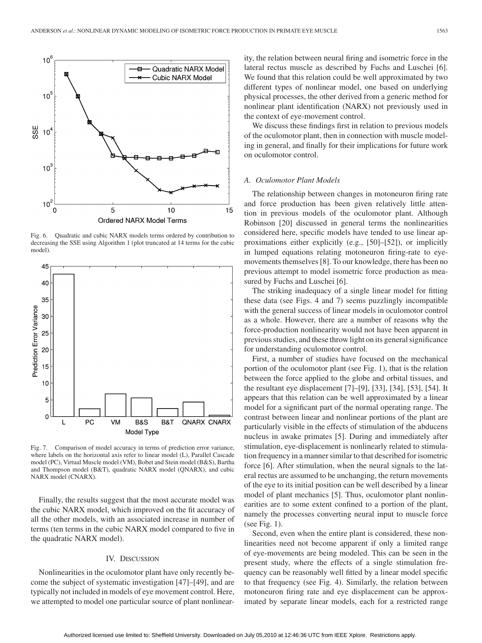

Fig. 6. Quadratic and cubic NARX models terms ordered by contribution to decreasing the SSE using Algorithm 1 (plot truncated at 14 terms for the cubic model).



Fig. 7. Comparison of model accuracy in terms of prediction error variance, where labels on the horizontal axis refer to linear model (L), Parallel Cascade model (PC), Virtual Muscle model (VM), Bobet and Stein model (B&S), Bartha and Thompson model (B&T), quadratic NARX model (QNARX), and cubic NARX model (CNARX).

Finally, the results suggest that the most accurate model was the cubic NARX model, which improved on the fit accuracy of all the other models, with an associated increase in number of terms (ten terms in the cubic NARX model compared to five in the quadratic NARX model).

#### IV. DISCUSSION

Nonlinearities in the oculomotor plant have only recently become the subject of systematic investigation [47]–[49], and are typically not included in models of eye movement control. Here, we attempted to model one particular source of plant nonlinearity, the relation between neural firing and isometric force in the lateral rectus muscle as described by Fuchs and Luschei [6]. We found that this relation could be well approximated by two different types of nonlinear model, one based on underlying physical processes, the other derived from a generic method for nonlinear plant identification (NARX) not previously used in the context of eye-movement control.

We discuss these findings first in relation to previous models of the oculomotor plant, then in connection with muscle modeling in general, and finally for their implications for future work on oculomotor control.

#### *A. Oculomotor Plant Models*

The relationship between changes in motoneuron firing rate and force production has been given relatively little attention in previous models of the oculomotor plant. Although Robinson [20] discussed in general terms the nonlinearities considered here, specific models have tended to use linear approximations either explicitly (e.g., [50]–[52]), or implicitly in lumped equations relating motoneuron firing-rate to eyemovements themselves [8]. To our knowledge, there has been no previous attempt to model isometric force production as measured by Fuchs and Luschei [6].

The striking inadequacy of a single linear model for fitting these data (see Figs. 4 and 7) seems puzzlingly incompatible with the general success of linear models in oculomotor control as a whole. However, there are a number of reasons why the force-production nonlinearity would not have been apparent in previous studies, and these throw light on its general significance for understanding oculomotor control.

First, a number of studies have focused on the mechanical portion of the oculomotor plant (see Fig. 1), that is the relation between the force applied to the globe and orbital tissues, and the resultant eye displacement [7]–[9], [33], [34], [53], [54]. It appears that this relation can be well approximated by a linear model for a significant part of the normal operating range. The contrast between linear and nonlinear portions of the plant are particularly visible in the effects of stimulation of the abducens nucleus in awake primates [5]. During and immediately after stimulation, eye-displacement is nonlinearly related to stimulation frequency in a manner similar to that described for isometric force [6]. After stimulation, when the neural signals to the lateral rectus are assumed to be unchanging, the return movements of the eye to its initial position can be well described by a linear model of plant mechanics [5]. Thus, oculomotor plant nonlinearities are to some extent confined to a portion of the plant, namely the processes converting neural input to muscle force (see Fig. 1).

Second, even when the entire plant is considered, these nonlinearities need not become apparent if only a limited range of eye-movements are being modeled. This can be seen in the present study, where the effects of a single stimulation frequency can be reasonably well fitted by a linear model specific to that frequency (see Fig. 4). Similarly, the relation between motoneuron firing rate and eye displacement can be approximated by separate linear models, each for a restricted range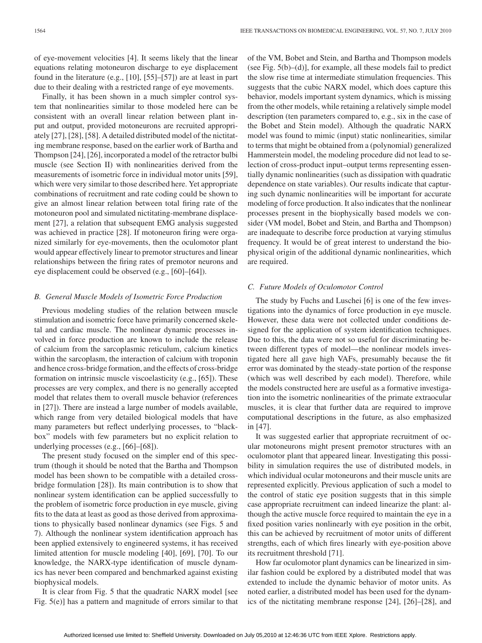of eye-movement velocities [4]. It seems likely that the linear equations relating motoneuron discharge to eye displacement found in the literature (e.g., [10], [55]–[57]) are at least in part due to their dealing with a restricted range of eye movements.

Finally, it has been shown in a much simpler control system that nonlinearities similar to those modeled here can be consistent with an overall linear relation between plant input and output, provided motoneurons are recruited appropriately [27], [28], [58]. A detailed distributed model of the nictitating membrane response, based on the earlier work of Bartha and Thompson [24], [26], incorporated a model of the retractor bulbi muscle (see Section II) with nonlinearities derived from the measurements of isometric force in individual motor units [59], which were very similar to those described here. Yet appropriate combinations of recruitment and rate coding could be shown to give an almost linear relation between total firing rate of the motoneuron pool and simulated nictitating-membrane displacement [27], a relation that subsequent EMG analysis suggested was achieved in practice [28]. If motoneuron firing were organized similarly for eye-movements, then the oculomotor plant would appear effectively linear to premotor structures and linear relationships between the firing rates of premotor neurons and eye displacement could be observed (e.g., [60]–[64]).

## *B. General Muscle Models of Isometric Force Production*

Previous modeling studies of the relation between muscle stimulation and isometric force have primarily concerned skeletal and cardiac muscle. The nonlinear dynamic processes involved in force production are known to include the release of calcium from the sarcoplasmic reticulum, calcium kinetics within the sarcoplasm, the interaction of calcium with troponin and hence cross-bridge formation, and the effects of cross-bridge formation on intrinsic muscle viscoelasticity (e.g., [65]). These processes are very complex, and there is no generally accepted model that relates them to overall muscle behavior (references in [27]). There are instead a large number of models available, which range from very detailed biological models that have many parameters but reflect underlying processes, to "blackbox" models with few parameters but no explicit relation to underlying processes (e.g., [66]–[68]).

The present study focused on the simpler end of this spectrum (though it should be noted that the Bartha and Thompson model has been shown to be compatible with a detailed crossbridge formulation [28]). Its main contribution is to show that nonlinear system identification can be applied successfully to the problem of isometric force production in eye muscle, giving fits to the data at least as good as those derived from approximations to physically based nonlinear dynamics (see Figs. 5 and 7). Although the nonlinear system identification approach has been applied extensively to engineered systems, it has received limited attention for muscle modeling [40], [69], [70]. To our knowledge, the NARX-type identification of muscle dynamics has never been compared and benchmarked against existing biophysical models.

It is clear from Fig. 5 that the quadratic NARX model [see Fig. 5(e)] has a pattern and magnitude of errors similar to that

of the VM, Bobet and Stein, and Bartha and Thompson models (see Fig.  $5(b)$ –(d)], for example, all these models fail to predict the slow rise time at intermediate stimulation frequencies. This suggests that the cubic NARX model, which does capture this behavior, models important system dynamics, which is missing from the other models, while retaining a relatively simple model description (ten parameters compared to, e.g., six in the case of the Bobet and Stein model). Although the quadratic NARX model was found to mimic (input) static nonlinearities, similar to terms that might be obtained from a (polynomial) generalized Hammerstein model, the modeling procedure did not lead to selection of cross-product input–output terms representing essentially dynamic nonlinearities (such as dissipation with quadratic dependence on state variables). Our results indicate that capturing such dynamic nonlinearities will be important for accurate modeling of force production. It also indicates that the nonlinear processes present in the biophysically based models we consider (VM model, Bobet and Stein, and Bartha and Thompson) are inadequate to describe force production at varying stimulus frequency. It would be of great interest to understand the biophysical origin of the additional dynamic nonlinearities, which are required.

#### *C. Future Models of Oculomotor Control*

The study by Fuchs and Luschei [6] is one of the few investigations into the dynamics of force production in eye muscle. However, these data were not collected under conditions designed for the application of system identification techniques. Due to this, the data were not so useful for discriminating between different types of model—the nonlinear models investigated here all gave high VAFs, presumably because the fit error was dominated by the steady-state portion of the response (which was well described by each model). Therefore, while the models constructed here are useful as a formative investigation into the isometric nonlinearities of the primate extraocular muscles, it is clear that further data are required to improve computational descriptions in the future, as also emphasized in [47].

It was suggested earlier that appropriate recruitment of ocular motoneurons might present premotor structures with an oculomotor plant that appeared linear. Investigating this possibility in simulation requires the use of distributed models, in which individual ocular motoneurons and their muscle units are represented explicitly. Previous application of such a model to the control of static eye position suggests that in this simple case appropriate recruitment can indeed linearize the plant: although the active muscle force required to maintain the eye in a fixed position varies nonlinearly with eye position in the orbit, this can be achieved by recruitment of motor units of different strengths, each of which fires linearly with eye-position above its recruitment threshold [71].

How far oculomotor plant dynamics can be linearized in similar fashion could be explored by a distributed model that was extended to include the dynamic behavior of motor units. As noted earlier, a distributed model has been used for the dynamics of the nictitating membrane response [24], [26]–[28], and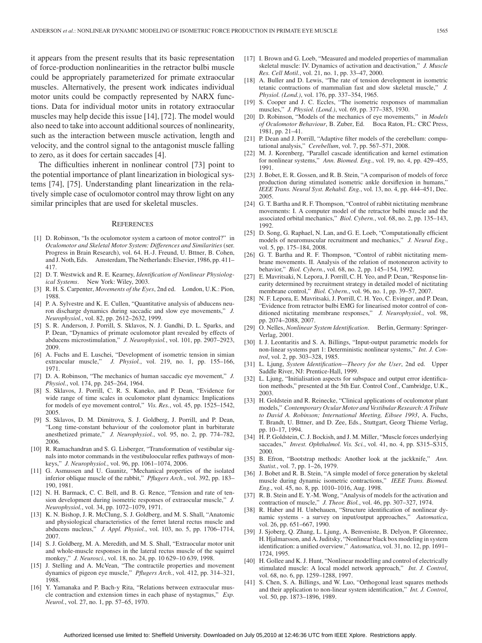it appears from the present results that its basic representation of force-production nonlinearities in the retractor bulbi muscle could be appropriately parameterized for primate extraocular muscles. Alternatively, the present work indicates individual motor units could be compactly represented by NARX functions. Data for individual motor units in rotatory extraocular muscles may help decide this issue [14], [72]. The model would also need to take into account additional sources of nonlinearity, such as the interaction between muscle activation, length and velocity, and the control signal to the antagonist muscle falling to zero, as it does for certain saccades [4].

The difficulties inherent in nonlinear control [73] point to the potential importance of plant linearization in biological systems [74], [75]. Understanding plant linearization in the relatively simple case of oculomotor control may throw light on any similar principles that are used for skeletal muscles.

#### **REFERENCES**

- [1] D. Robinson, "Is the oculomotor system a cartoon of motor control?" in *Oculomotor and Skeletal Motor System: Differences and Similarities* (ser. Progress in Brain Research), vol. 64. H.-J. Freund, U. Bttner, B. Cohen, and J. Noth, Eds. Amsterdam, The Netherlands: Elsevier, 1986, pp. 411– 417.
- [2] D. T. Westwick and R. E. Kearney, *Identification of Nonlinear Physiological Systems*. New York: Wiley, 2003.
- [3] R. H. S. Carpenter, *Movements of the Eyes*, 2nd ed. London, U.K.: Pion, 1988.
- [4] P. A. Sylvestre and K. E. Cullen, "Quantitative analysis of abducens neuron discharge dynamics during saccadic and slow eye movements," *J. Neurophysiol.*, vol. 82, pp. 2612–2632, 1999.
- [5] S. R. Anderson, J. Porrill, S. Sklavos, N. J. Gandhi, D. L. Sparks, and P. Dean, "Dynamics of primate oculomotor plant revealed by effects of abducens microstimulation," *J. Neurophysiol.*, vol. 101, pp. 2907–2923, 2009.
- [6] A. Fuchs and E. Luschei, "Development of isometric tension in simian extraocular muscle," *J. Physiol.*, vol. 219, no. 1, pp. 155–166, 1971.
- [7] D. A. Robinson, "The mechanics of human saccadic eye movement," *J. Physiol.*, vol. 174, pp. 245–264, 1964.
- [8] S. Sklavos, J. Porrill, C. R. S. Kaneko, and P. Dean, "Evidence for wide range of time scales in oculomotor plant dynamics: Implications for models of eye movement control," *Vis. Res.*, vol. 45, pp. 1525–1542, 2005.
- [9] S. Sklavos, D. M. Dimitrova, S. J. Goldberg, J. Porrill, and P. Dean, "Long time-constant behaviour of the coulomotor plant in barbiturate anesthetized primate," *J. Neurophysiol.*, vol. 95, no. 2, pp. 774–782, 2006.
- [10] R. Ramachandran and S. G. Lisberger, "Transformation of vestibular signals into motor commands in the vestibuloocular reflex pathways of monkeys," *J. Neurophysiol.*, vol. 96, pp. 1061–1074, 2006.
- [11] G. Asmussen and U. Gaunitz, "Mechanical properties of the isolated inferior oblique muscle of the rabbit," *Pflugers Arch.*, vol. 392, pp. 183– 190, 1981.
- [12] N. H. Barmack, C. C. Bell, and B. G. Rence, "Tension and rate of tension development during isometric responses of extraocular muscle," *J. Neurophysiol.*, vol. 34, pp. 1072–1079, 1971.
- [13] K. N. Bishop, J. R. McClung, S. J. Goldberg, and M. S. Shall, "Anatomic and physiological characteristics of the ferret lateral rectus muscle and abducens nucleus," *J. Appl. Physiol.*, vol. 103, no. 5, pp. 1706–1714, 2007.
- [14] S. J. Goldberg, M. A. Meredith, and M. S. Shall, "Extraocular motor unit and whole-muscle responses in the lateral rectus muscle of the squirrel monkey," *J. Neurosci.*, vol. 18, no. 24, pp. 10 629–10 639, 1998.
- [15] J. Stelling and A. McVean, "The contractile properties and movement dynamics of pigeon eye muscle," *Pflugers Arch.*, vol. 412, pp. 314–321, 1988.
- [16] Y. Yamanaka and P. Bach-y Rita, "Relations between extraocular muscle contraction and extension times in each phase of nystagmus," *Exp. Neurol.*, vol. 27, no. 1, pp. 57–65, 1970.
- [17] I. Brown and G. Loeb, "Measured and modeled properties of mammalian skeletal muscle: IV. Dynamics of activation and deactivation," *J. Muscle Res. Cell Motil.*, vol. 21, no. 1, pp. 33–47, 2000.
- [18] A. Buller and D. Lewis, "The rate of tension development in isometric tetanic contractions of mammalian fast and slow skeletal muscle," *J. Physiol. (Lond.)*, vol. 176, pp. 337–354, 1965.
- [19] S. Cooper and J. C. Eccles, "The isometric responses of mammalian muscles," *J. Physiol. (Lond.)*, vol. 69, pp. 377–385, 1930.
- [20] D. Robinson, "Models of the mechanics of eye movements," in *Models of Oculomotor Behaviour*, B. Zuber, Ed. Boca Raton, FL: CRC Press, 1981, pp. 21–41.
- [21] P. Dean and J. Porrill, "Adaptive filter models of the cerebellum: computational analysis," *Cerebellum*, vol. 7, pp. 567–571, 2008.
- [22] M. J. Korenberg, "Parallel cascade identification and kernel estimation for nonlinear systems," *Ann. Biomed. Eng.*, vol. 19, no. 4, pp. 429–455, 1991.
- [23] J. Bobet, E. R. Gossen, and R. B. Stein, "A comparison of models of force production during stimulated isometric ankle dorsiflexion in humans," *IEEE Trans. Neural Syst. Rehabil. Eng.*, vol. 13, no. 4, pp. 444–451, Dec. 2005.
- [24] G. T. Bartha and R. F. Thompson, "Control of rabbit nictitating membrane movements: I. A computer model of the retractor bulbi muscle and the associated orbital mechanics," *Biol. Cybern.*, vol. 68, no. 2, pp. 135–143, 1992.
- [25] D. Song, G. Raphael, N. Lan, and G. E. Loeb, "Computationally efficient models of neuromuscular recruitment and mechanics," *J. Neural Eng.*, vol. 5, pp. 175–184, 2008.
- [26] G. T. Bartha and R. F. Thompson, "Control of rabbit nictitating membrane movements. II. Analysis of the relation of motoneuron activity to behavior," *Biol. Cybern.*, vol. 68, no. 2, pp. 145–154, 1992.
- [27] E. Mavritsaki, N. Lepora, J. Porrill, C. H. Yeo, and P. Dean, "Response linearity determined by recruitment strategy in detailed model of nictitating membrane control," *Biol. Cybern.*, vol. 96, no. 1, pp. 39–57, 2007.
- [28] N. F. Lepora, E. Mavritsaki, J. Porrill, C. H. Yeo, C. Evinger, and P. Dean, "Evidence from retractor bulbi EMG for linearised motor control of conditioned nictitating membrane responses," *J. Neurophysiol.*, vol. 98, pp. 2074–2088, 2007.
- [29] O. Nelles, *Nonlinear System Identification*. Berlin, Germany: Springer-Verlag, 2001.
- [30] I. J. Leontaritis and S. A. Billings, "Input-output parametric models for non-linear systems part 1: Deterministic nonlinear systems," *Int. J. Control*, vol. 2, pp. 303–328, 1985.
- [31] L. Ljung, *System Identification—Theory for the User*, 2nd ed. Upper Saddle River, NJ: Prentice-Hall, 1999.
- [32] L. Ljung, "Initialisation aspects for subspace and output error identification methods," presented at the 5th Eur. Control Conf., Cambridge, U.K., 2003.
- [33] H. Goldstein and R. Reinecke, "Clinical applications of oculomotor plant models," *Contemporary Ocular Motor and Vestibular Research: A Tribute to David A. Robinson; International Meeting, Eibsee 1993*, A. Fuchs, T. Brandt, U. Bttner, and D. Zee, Eds., Stuttgart, Georg Thieme Verlag, pp. 10–17, 1994.
- [34] H. P. Goldstein, C. J. Bockish, and J. M. Miller, "Muscle forces underlying saccades," *Invest. Ophthalmol. Vis. Sci.*, vol. 41, no. 4, pp. S315–S315, 2000.
- [35] B. Efron, "Bootstrap methods: Another look at the jackknife," *Ann. Statist.*, vol. 7, pp. 1–26, 1979.
- [36] J. Bobet and R. B. Stein, "A simple model of force generation by skeletal muscle during dynamic isometric contractions," *IEEE Trans. Biomed. Eng.*, vol. 45, no. 8, pp. 1010–1016, Aug. 1998.
- [37] R. B. Stein and E. Y.-M. Wong, "Analysis of models for the activation and contraction of muscle," *J. Theor. Biol.*, vol. 46, pp. 307–327, 1974.
- [38] R. Haber and H. Unbehauen, "Structure identification of nonlinear dynamic systems - a survey on input/output approaches," *Automatica*, vol. 26, pp. 651–667, 1990.
- [39] J. Sjoberg, Q. Zhang, L. Ljung, A. Benveniste, B. Delyon, P. Glorennec, H. Hjalmarsson, and A. Juditsky, "Nonlinear black box modeling in system identification: a unified overview," *Automatica*, vol. 31, no. 12, pp. 1691– 1724, 1995.
- [40] H. Gollee and K. J. Hunt, "Nonlinear modelling and control of electrically stimulated muscle: A local model network approach," *Int. J. Control*, vol. 68, no. 6, pp. 1259–1288, 1997.
- [41] S. Chen, S. A. Billings, and W. Luo, "Orthogonal least squares methods and their application to non-linear system identification," *Int. J. Control*, vol. 50, pp. 1873–1896, 1989.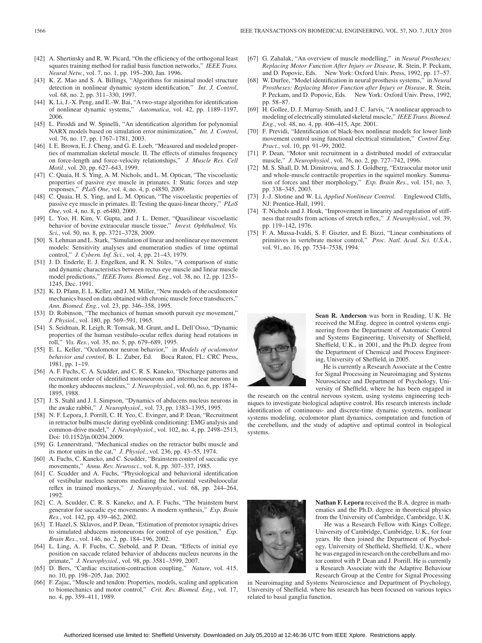- [42] A. Shertinsky and R. W. Picard, "On the efficiency of the orthogonal least squares training method for radial basis function networks," *IEEE Trans. Neural Netw.*, vol. 7, no. 1, pp. 195–200, Jan. 1996.
- [43] K. Z. Mao and S. A. Billings, "Algorithms for minimal model structure detection in nonlinear dynamic system identification," *Int. J. Control*, vol. 68, no. 2, pp. 311–330, 1997.
- [44] K. Li, J.-X. Peng, and E.-W. Bai, "A two-stage algorithm for identification of nonlinear dynamic systems," *Automatica*, vol. 42, pp. 1189–1197, 2006.
- [45] L. Piroddi and W. Spinelli, "An identification algorithm for polynomial NARX models based on simulation error minimization," *Int. J. Control*, vol. 76, no. 17, pp. 1767–1781, 2003.
- [46] I. E. Brown, E. J. Cheng, and G. E. Loeb, "Measured and modeled properties of mammalian skeletal muscle. II. The effects of stimulus frequency on force-length and force-velocity relationships," *J. Muscle Res. Cell Motil.*, vol. 20, pp. 627–643, 1999.
- [47] C. Quaia, H. S. Ying, A. M. Nichols, and L. M. Optican, "The viscoelastic properties of passive eye muscle in primates. I: Static forces and step responses," *PLoS One*, vol. 4, no. 4, p. e4850, 2009.
- [48] C. Quaia, H. S. Ying, and L. M. Optican, "The viscoelastic properties of passive eye muscle in primates. II: Testing the quasi-linear theory," *PLoS One*, vol. 4, no. 8, p. e6480, 2009.
- [49] L. Yoo, H. Kim, V. Gupta, and J. L. Demer, "Quasilinear viscoelastic behavior of bovine extraocular muscle tissue," *Invest. Ophthalmol. Vis. Sci.*, vol. 50, no. 8, pp. 3721–3728, 2009.
- [50] S. Lehman and L. Stark, "Simulation of linear and nonlinear eye movement models: Sensitivity analyses and enumeration studies of time optimal control," *J. Cybern. Inf. Sci.*, vol. 4, pp. 21–43, 1979.
- [51] J. D. Enderle, E. J. Engelken, and R. N. Stiles, "A comparison of static and dynamic characteristics between rectus eye muscle and linear muscle model predictions," *IEEE Trans. Biomed. Eng.*, vol. 38, no. 12, pp. 1235– 1245, Dec. 1991.
- [52] K. D. Pfann, E. L. Keller, and J. M. Miller, "New models of the oculomotor mechanics based on data obtained with chronic muscle force transducers," *Ann. Biomed. Eng.*, vol. 23, pp. 346–358, 1995.
- [53] D. Robinson, "The mechanics of human smooth pursuit eye movement," *J. Physiol.*, vol. 180, pp. 569–591, 1965.
- [54] S. Seidman, R. Leigh, R. Tomsak, M. Grant, and L. Dell'Osso, "Dynamic properties of the human vestibulo-ocular reflex during head rotations in roll," *Vis. Res.*, vol. 35, no. 5, pp. 679–689, 1995.
- [55] E. L. Keller, "Oculomotor neuron behavior," in *Models of oculomotor behavior and control*, B. L. Zuber, Ed. Boca Raton, FL: CRC Press, 1981, pp. 1–19.
- [56] A. F. Fuchs, C. A. Scudder, and C. R. S. Kaneko, "Discharge patterns and recruitment order of identified motoneurons and internuclear neurons in the monkey abducens nucleus," *J. Neurophysiol.*, vol. 60, no. 6, pp. 1874– 1895, 1988.
- [57] J. S. Stahl and J. I. Simpson, "Dynamics of abducens nucleus neurons in the awake rabbit," *J. Neurophysiol.*, vol. 73, pp. 1383–1395, 1995.
- [58] N. F. Lepora, J. Porrill, C. H. Yeo, C. Evinger, and P. Dean, "Recruitment in retractor bulbi muscle during eyeblink conditioning: EMG analysis and common-drive model," *J. Neurophysiol.*, vol. 102, no. 4, pp. 2498–2513, Doi: 10.1152/jn.00204.2009.
- [59] G. Lennerstrand, "Mechanical studies on the retractor bulbi muscle and its motor units in the cat," *J. Physiol.*, vol. 236, pp. 43–55, 1974.
- [60] A. Fuchs, C. Kaneko, and C. Scudder, "Brainstem control of saccadic eye movements," *Annu. Rev. Neurosci.*, vol. 8, pp. 307–337, 1985.
- [61] C. Scudder and A. Fuchs, "Physiological and behavioral identification of vestibular nucleus neurons mediating the horizontal vestibuloocular reflex in trained monkeys," *J. Neurophysiol.*, vol. 68, pp. 244–264, 1992.
- [62] C. A. Scudder, C. R. S. Kaneko, and A. F. Fuchs, "The brainstem burst generator for saccadic eye movements: A modern synthesis," *Exp. Brain Res.*, vol. 142, pp. 439–462, 2002.
- [63] T. Hazel, S. Sklavos, and P. Dean, "Estimation of premotor synaptic drives to simulated abducens motoneurons for control of eye position," *Exp. Brain Res.*, vol. 146, no. 2, pp. 184–196, 2002.
- [64] L. Ling, A. F. Fuchs, C. Siebold, and P. Dean, "Effects of initial eye position on saccade related behavior of abducens nucleus neurons in the primate," *J. Neurophysiol.*, vol. 98, pp. 3581–3599, 2007.
- [65] D. Bers, "Cardiac excitation-contraction coupling," *Nature*, vol. 415, no. 10, pp. 198–205, Jan. 2002.
- [66] F. Zajac, "Muscle and tendon: Properties, models, scaling and application to biomechanics and motor control," *Crit. Rev. Biomed. Eng.*, vol. 17, no. 4, pp. 359–411, 1989.
- [67] G. Zahalak, "An overview of muscle modelling," in *Neural Prostheses: Replacing Motor Function After Injury or Disease*, R. Stein, P. Peckam, and D. Popovic, Eds. New York: Oxford Univ. Press, 1992, pp. 17–57.
- [68] W. Durfee, "Model identification in neural prosthesis systems," in *Neural Prostheses: Replacing Motor Function after Injury or Disease*, R. Stein, P. Peckam, and D. Popovic, Eds. New York: Oxford Univ. Press, 1992, pp. 58–87.
- [69] H. Gollee, D. J. Murray-Smith, and J. C. Jarvis, "A nonlinear approach to modeling of electrically stimulated skeletal muscle," *IEEE Trans. Biomed. Eng.*, vol. 48, no. 4, pp. 406–415, Apr. 2001.
- [70] F. Previdi, "Identification of black-box nonlinear models for lower limb movement control using functional electrical stimulation," *Control Eng. Pract.*, vol. 10, pp. 91–99, 2002.
- [71] P. Dean, "Motor unit recruitment in a distributed model of extraocular muscle," *J. Neurophysiol.*, vol. 76, no. 2, pp. 727–742, 1996.
- [72] M. S. Shall, D. M. Dimitrova, and S. J. Goldberg, "Extraocular motor unit and whole-muscle contractile properties in the squirrel monkey. Summation of forces and fiber morphology," *Exp. Brain Res.*, vol. 151, no. 3, pp. 338–345, 2003.
- [73] J.-J. Slotine and W. Li, *Applied Nonlinear Control*. Englewood Cliffs, NJ: Prentice-Hall, 1991.
- [74] T. Nichols and J. Houk, "Improvement in linearity and regulation of stiffness that results from actions of stretch reflex," *J. Neurophysiol.*, vol. 39, pp. 119–142, 1976.
- [75] F. A. Mussa-Ivaldi, S. F. Giszter, and E. Bizzi, "Linear combinations of primitives in vertebrate motor control," *Proc. Natl. Acad. Sci. U.S.A.*, vol. 91, no. 16, pp. 7534–7538, 1994.



**Sean R. Anderson** was born in Reading, U.K. He received the M.Eng. degree in control systems engineering from the Department of Automatic Control and Systems Engineering, University of Sheffield, Sheffield, U.K., in 2001, and the Ph.D. degree from the Department of Chemical and Process Engineering, University of Sheffield, in 2005.

He is currently a Research Associate at the Centre for Signal Processing in Neuroimaging and Systems Neuroscience and Department of Psychology, University of Sheffield, where he has been engaged in

the research on the central nervous system, using systems engineering techniques to investigate biological adaptive control. His research interests include identification of continuous- and discrete-time dynamic systems, nonlinear systems modeling, oculomotor plant dynamics, computation and function of the cerebellum, and the study of adaptive and optimal control in biological systems.



**Nathan F. Lepora** received the B.A. degree in mathematics and the Ph.D. degree in theoretical physics from the University of Cambridge, Cambridge, U.K.

He was a Research Fellow with Kings College, University of Cambridge, Cambridge, U.K., for four years. He then joined the Department of Psychology, University of Sheffield, Sheffield, U.K., where he was engaged in research on the cerebellum and motor control with P. Dean and J. Porrill. He is currently a Research Associate with the Adaptive Behaviour Research Group at the Centre for Signal Processing

in Neuroimaging and Systems Neuroscience and Department of Psychology, University of Sheffield, where his research has been focused on various topics related to basal ganglia function.